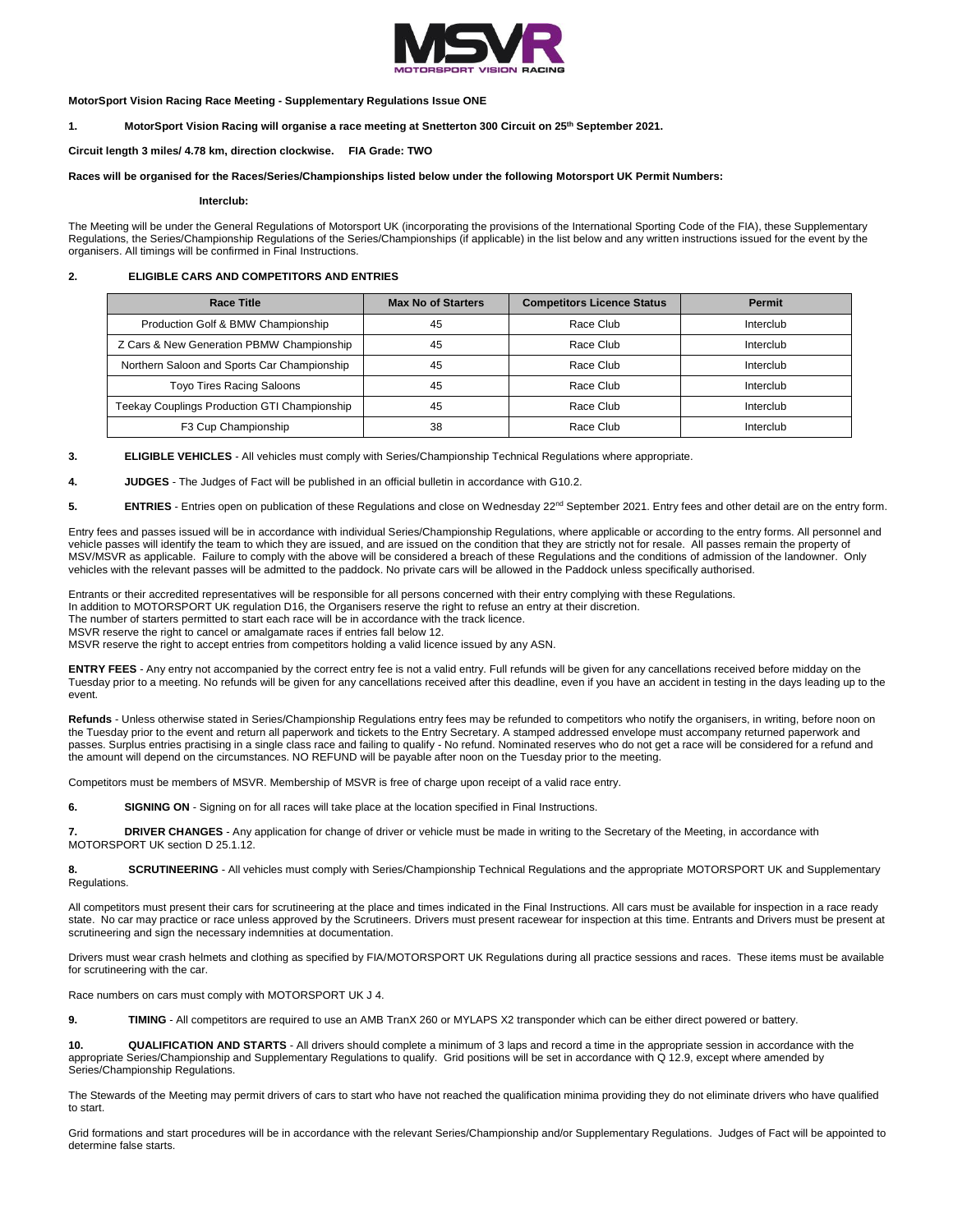

**MotorSport Vision Racing Race Meeting - Supplementary Regulations Issue ONE**

**1. MotorSport Vision Racing will organise a race meeting at Snetterton 300 Circuit on 25th September 2021.**

**Circuit length 3 miles/ 4.78 km, direction clockwise. FIA Grade: TWO**

### **Races will be organised for the Races/Series/Championships listed below under the following Motorsport UK Permit Numbers:**

**Interclub:**

The Meeting will be under the General Regulations of Motorsport UK (incorporating the provisions of the International Sporting Code of the FIA), these Supplementary Regulations, the Series/Championship Regulations of the Series/Championships (if applicable) in the list below and any written instructions issued for the event by the organisers. All timings will be confirmed in Final Instructions.

## **2. ELIGIBLE CARS AND COMPETITORS AND ENTRIES**

| <b>Race Title</b>                            | <b>Max No of Starters</b> | <b>Competitors Licence Status</b> | <b>Permit</b> |
|----------------------------------------------|---------------------------|-----------------------------------|---------------|
| Production Golf & BMW Championship           | 45                        | Race Club                         | Interclub     |
| Z Cars & New Generation PBMW Championship    | 45                        | Race Club                         | Interclub     |
| Northern Saloon and Sports Car Championship  | 45                        | Race Club                         | Interclub     |
| <b>Toyo Tires Racing Saloons</b>             | 45                        | Race Club                         | Interclub     |
| Teekay Couplings Production GTI Championship | 45                        | Race Club                         | Interclub     |
| F3 Cup Championship                          | 38                        | Race Club                         | Interclub     |

**3. ELIGIBLE VEHICLES** - All vehicles must comply with Series/Championship Technical Regulations where appropriate.

**4. JUDGES** - The Judges of Fact will be published in an official bulletin in accordance with G10.2.

5. **ENTRIES** - Entries open on publication of these Regulations and close on Wednesday 22<sup>nd</sup> September 2021. Entry fees and other detail are on the entry form.

Entry fees and passes issued will be in accordance with individual Series/Championship Regulations, where applicable or according to the entry forms. All personnel and vehicle passes will identify the team to which they are issued, and are issued on the condition that they are strictly not for resale. All passes remain the property of MSV/MSVR as applicable. Failure to comply with the above will be considered a breach of these Regulations and the conditions of admission of the landowner. Only vehicles with the relevant passes will be admitted to the paddock. No private cars will be allowed in the Paddock unless specifically authorised.

Entrants or their accredited representatives will be responsible for all persons concerned with their entry complying with these Regulations.

In addition to MOTORSPORT UK regulation D16, the Organisers reserve the right to refuse an entry at their discretion.

The number of starters permitted to start each race will be in accordance with the track licence.

MSVR reserve the right to cancel or amalgamate races if entries fall below 12.

MSVR reserve the right to accept entries from competitors holding a valid licence issued by any ASN.

**ENTRY FEES** - Any entry not accompanied by the correct entry fee is not a valid entry. Full refunds will be given for any cancellations received before midday on the Tuesday prior to a meeting. No refunds will be given for any cancellations received after this deadline, even if you have an accident in testing in the days leading up to the event.

Refunds - Unless otherwise stated in Series/Championship Regulations entry fees may be refunded to competitors who notify the organisers, in writing, before noon on the Tuesday prior to the event and return all paperwork and tickets to the Entry Secretary. A stamped addressed envelope must accompany returned paperwork and passes. Surplus entries practising in a single class race and failing to qualify - No refund. Nominated reserves who do not get a race will be considered for a refund and the amount will depend on the circumstances. NO REFUND will be payable after noon on the Tuesday prior to the meeting.

Competitors must be members of MSVR. Membership of MSVR is free of charge upon receipt of a valid race entry.

**6. SIGNING ON** - Signing on for all races will take place at the location specified in Final Instructions.

**7. DRIVER CHANGES** - Any application for change of driver or vehicle must be made in writing to the Secretary of the Meeting, in accordance with MOTORSPORT UK section D 25.1.12.

**8. SCRUTINEERING** - All vehicles must comply with Series/Championship Technical Regulations and the appropriate MOTORSPORT UK and Supplementary Regulations.

All competitors must present their cars for scrutineering at the place and times indicated in the Final Instructions. All cars must be available for inspection in a race ready state. No car may practice or race unless approved by the Scrutineers. Drivers must present racewear for inspection at this time. Entrants and Drivers must be present at scrutineering and sign the necessary indemnities at documentation.

Drivers must wear crash helmets and clothing as specified by FIA/MOTORSPORT UK Regulations during all practice sessions and races. These items must be available for scrutineering with the car.

Race numbers on cars must comply with MOTORSPORT UK J 4.

**9. TIMING** - All competitors are required to use an AMB TranX 260 or MYLAPS X2 transponder which can be either direct powered or battery.

**10. QUALIFICATION AND STARTS** - All drivers should complete a minimum of 3 laps and record a time in the appropriate session in accordance with the appropriate Series/Championship and Supplementary Regulations to qualify. Grid positions will be set in accordance with Q 12.9, except where amended by Series/Championship Regulations.

The Stewards of the Meeting may permit drivers of cars to start who have not reached the qualification minima providing they do not eliminate drivers who have qualified to start.

Grid formations and start procedures will be in accordance with the relevant Series/Championship and/or Supplementary Regulations. Judges of Fact will be appointed to determine false starts.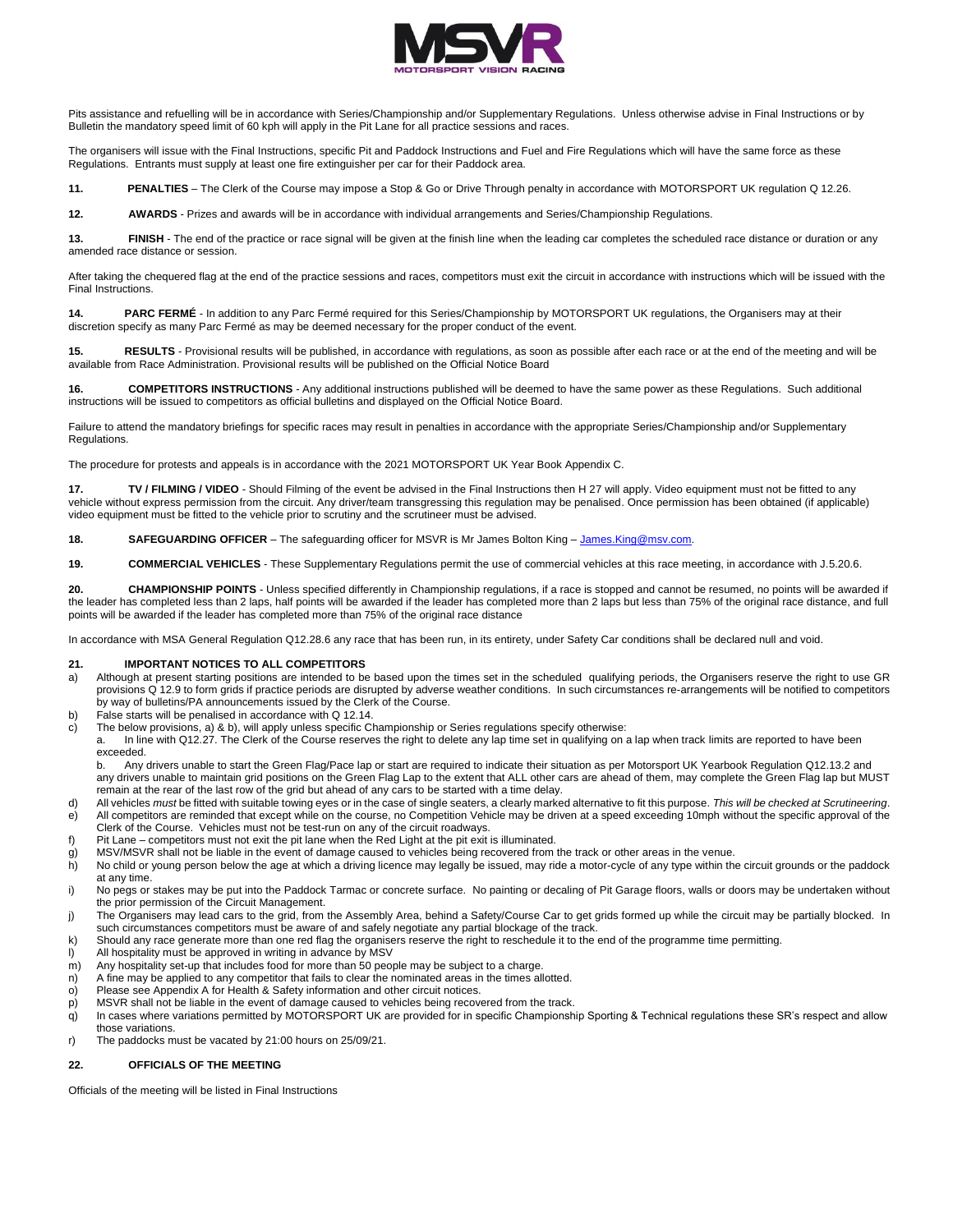

Pits assistance and refuelling will be in accordance with Series/Championship and/or Supplementary Regulations. Unless otherwise advise in Final Instructions or by Bulletin the mandatory speed limit of 60 kph will apply in the Pit Lane for all practice sessions and races.

The organisers will issue with the Final Instructions, specific Pit and Paddock Instructions and Fuel and Fire Regulations which will have the same force as these Regulations. Entrants must supply at least one fire extinguisher per car for their Paddock area.

**11. PENALTIES** – The Clerk of the Course may impose a Stop & Go or Drive Through penalty in accordance with MOTORSPORT UK regulation Q 12.26.

**12. AWARDS** - Prizes and awards will be in accordance with individual arrangements and Series/Championship Regulations.

13. **FINISH** - The end of the practice or race signal will be given at the finish line when the leading car completes the scheduled race distance or duration or any amended race distance or session.

After taking the chequered flag at the end of the practice sessions and races, competitors must exit the circuit in accordance with instructions which will be issued with the Final Instructions.

**14. PARC FERMÉ** - In addition to any Parc Fermé required for this Series/Championship by MOTORSPORT UK regulations, the Organisers may at their discretion specify as many Parc Fermé as may be deemed necessary for the proper conduct of the event.

**15. RESULTS** - Provisional results will be published, in accordance with regulations, as soon as possible after each race or at the end of the meeting and will be available from Race Administration. Provisional results will be published on the Official Notice Board

**16. COMPETITORS INSTRUCTIONS** - Any additional instructions published will be deemed to have the same power as these Regulations. Such additional instructions will be issued to competitors as official bulletins and displayed on the Official Notice Board.

Failure to attend the mandatory briefings for specific races may result in penalties in accordance with the appropriate Series/Championship and/or Supplementary Regulations.

The procedure for protests and appeals is in accordance with the 2021 MOTORSPORT UK Year Book Appendix C.

**17.** TV / FILMING / VIDEO - Should Filming of the event be advised in the Final Instructions then H 27 will apply. Video equipment must not be fitted to any vehicle without express permission from the circuit. Any driver/team transgressing this regulation may be penalised. Once permission has been obtained (if applicable) video equipment must be fitted to the vehicle prior to scrutiny and the scrutineer must be advised.

**18. SAFEGUARDING OFFICER** – The safeguarding officer for MSVR is Mr James Bolton King – [James.King@msv.com.](mailto:James.King@msv.com)

**19. COMMERCIAL VEHICLES** - These Supplementary Regulations permit the use of commercial vehicles at this race meeting, in accordance with J.5.20.6.

**20. CHAMPIONSHIP POINTS** - Unless specified differently in Championship regulations, if a race is stopped and cannot be resumed, no points will be awarded if the leader has completed less than 2 laps, half points will be awarded if the leader has completed more than 2 laps but less than 75% of the original race distance, and full points will be awarded if the leader has completed more than 75% of the original race distance

In accordance with MSA General Regulation Q12.28.6 any race that has been run, in its entirety, under Safety Car conditions shall be declared null and void.

### **21. IMPORTANT NOTICES TO ALL COMPETITORS**

- a) Although at present starting positions are intended to be based upon the times set in the scheduled qualifying periods, the Organisers reserve the right to use GR provisions Q 12.9 to form grids if practice periods are disrupted by adverse weather conditions. In such circumstances re-arrangements will be notified to competitors by way of bulletins/PA announcements issued by the Clerk of the Course.
- b) False starts will be penalised in accordance with Q 12.14.
- c) The below provisions, a) & b), will apply unless specific Championship or Series regulations specify otherwise:
	- a. In line with Q12.27. The Clerk of the Course reserves the right to delete any lap time set in qualifying on a lap when track limits are reported to have been exceeded.

b. Any drivers unable to start the Green Flag/Pace lap or start are required to indicate their situation as per Motorsport UK Yearbook Regulation Q12.13.2 and any drivers unable to maintain grid positions on the Green Flag Lap to the extent that ALL other cars are ahead of them, may complete the Green Flag lap but MUST remain at the rear of the last row of the grid but ahead of any cars to be started with a time delay.

- d) All vehicles *must* be fitted with suitable towing eyes or in the case of single seaters, a clearly marked alternative to fit this purpose. *This will be checked at Scrutineering*. e) All competitors are reminded that except while on the course, no Competition Vehicle may be driven at a speed exceeding 10mph without the specific approval of the
- Clerk of the Course. Vehicles must not be test-run on any of the circuit roadways.
- f) Pit Lane competitors must not exit the pit lane when the Red Light at the pit exit is illuminated. g) MSV/MSVR shall not be liable in the event of damage caused to vehicles being recovered from the track or other areas in the venue.
- h) No child or young person below the age at which a driving licence may legally be issued, may ride a motor-cycle of any type within the circuit grounds or the paddock at any time.
- i) No pegs or stakes may be put into the Paddock Tarmac or concrete surface. No painting or decaling of Pit Garage floors, walls or doors may be undertaken without the prior permission of the Circuit Management.
- j) The Organisers may lead cars to the grid, from the Assembly Area, behind a Safety/Course Car to get grids formed up while the circuit may be partially blocked. In such circumstances competitors must be aware of and safely negotiate any partial blockage of the track.
- k) Should any race generate more than one red flag the organisers reserve the right to reschedule it to the end of the programme time permitting.<br>I) All hospitality must be approved in writing in advance by MSV
- All hospitality must be approved in writing in advance by MSV
- m) Any hospitality set-up that includes food for more than 50 people may be subject to a charge.
- n) A fine may be applied to any competitor that fails to clear the nominated areas in the times allotted.
- o) Please see Appendix A for Health & Safety information and other circuit notices.
- p) MSVR shall not be liable in the event of damage caused to vehicles being recovered from the track.
- q) In cases where variations permitted by MOTORSPORT UK are provided for in specific Championship Sporting & Technical regulations these SR's respect and allow those variations.
- r) The paddocks must be vacated by 21:00 hours on 25/09/21.

## **22. OFFICIALS OF THE MEETING**

Officials of the meeting will be listed in Final Instructions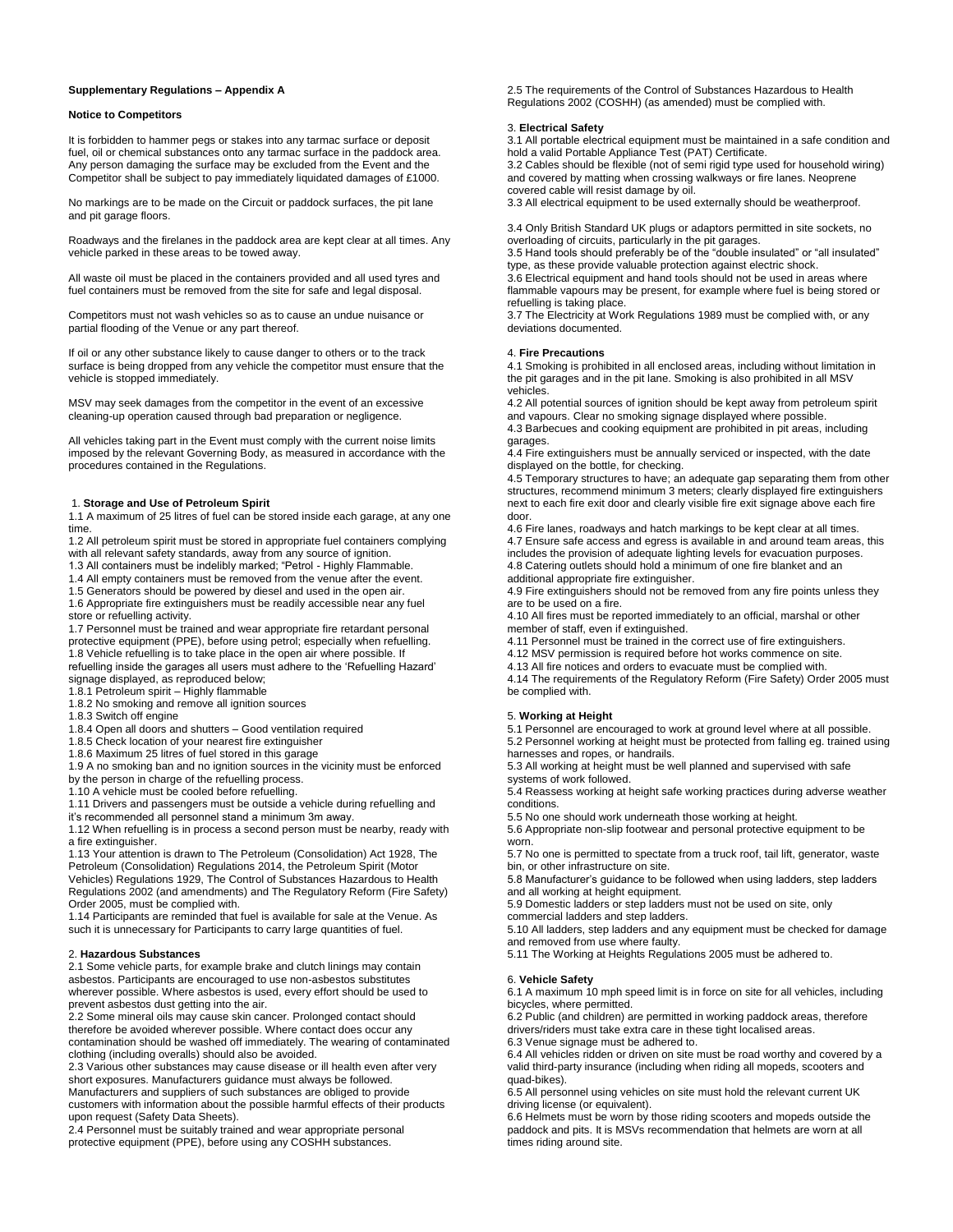### **Supplementary Regulations – Appendix A**

### **Notice to Competitors**

It is forbidden to hammer pegs or stakes into any tarmac surface or deposit fuel, oil or chemical substances onto any tarmac surface in the paddock area. Any person damaging the surface may be excluded from the Event and the Competitor shall be subject to pay immediately liquidated damages of £1000.

No markings are to be made on the Circuit or paddock surfaces, the pit lane and pit garage floors.

Roadways and the firelanes in the paddock area are kept clear at all times. Any vehicle parked in these areas to be towed away.

All waste oil must be placed in the containers provided and all used tyres and fuel containers must be removed from the site for safe and legal disposal.

Competitors must not wash vehicles so as to cause an undue nuisance or partial flooding of the Venue or any part thereof.

If oil or any other substance likely to cause danger to others or to the track surface is being dropped from any vehicle the competitor must ensure that the vehicle is stopped immediately.

MSV may seek damages from the competitor in the event of an excessive cleaning-up operation caused through bad preparation or negligence.

All vehicles taking part in the Event must comply with the current noise limits imposed by the relevant Governing Body, as measured in accordance with the procedures contained in the Regulations.

# 1. **Storage and Use of Petroleum Spirit**

1.1 A maximum of 25 litres of fuel can be stored inside each garage, at any one time.

1.2 All petroleum spirit must be stored in appropriate fuel containers complying with all relevant safety standards, away from any source of ignition.

1.3 All containers must be indelibly marked; "Petrol - Highly Flammable.

1.4 All empty containers must be removed from the venue after the event.

1.5 Generators should be powered by diesel and used in the open air. 1.6 Appropriate fire extinguishers must be readily accessible near any fuel store or refuelling activity.

1.7 Personnel must be trained and wear appropriate fire retardant personal protective equipment (PPE), before using petrol; especially when refuelling. 1.8 Vehicle refuelling is to take place in the open air where possible. If refuelling inside the garages all users must adhere to the 'Refuelling Hazard' signage displayed, as reproduced below;

1.8.1 Petroleum spirit – Highly flammable

1.8.2 No smoking and remove all ignition sources

1.8.3 Switch off engine

1.8.4 Open all doors and shutters – Good ventilation required

1.8.5 Check location of your nearest fire extinguisher

1.8.6 Maximum 25 litres of fuel stored in this garage

1.9 A no smoking ban and no ignition sources in the vicinity must be enforced by the person in charge of the refuelling process.

1.10 A vehicle must be cooled before refuelling.

1.11 Drivers and passengers must be outside a vehicle during refuelling and

it's recommended all personnel stand a minimum 3m away.

1.12 When refuelling is in process a second person must be nearby, ready with a fire extinguisher.

1.13 Your attention is drawn to The Petroleum (Consolidation) Act 1928, The Petroleum (Consolidation) Regulations 2014, the Petroleum Spirit (Motor Vehicles) Regulations 1929, The Control of Substances Hazardous to Health Regulations 2002 (and amendments) and The Regulatory Reform (Fire Safety) Order 2005, must be complied with.

1.14 Participants are reminded that fuel is available for sale at the Venue. As such it is unnecessary for Participants to carry large quantities of fuel.

#### 2. **Hazardous Substances**

2.1 Some vehicle parts, for example brake and clutch linings may contain asbestos. Participants are encouraged to use non-asbestos substitutes wherever possible. Where asbestos is used, every effort should be used to prevent asbestos dust getting into the air.

2.2 Some mineral oils may cause skin cancer. Prolonged contact should therefore be avoided wherever possible. Where contact does occur any contamination should be washed off immediately. The wearing of contaminated clothing (including overalls) should also be avoided.

2.3 Various other substances may cause disease or ill health even after very short exposures. Manufacturers guidance must always be followed. Manufacturers and suppliers of such substances are obliged to provide customers with information about the possible harmful effects of their products upon request (Safety Data Sheets).

2.4 Personnel must be suitably trained and wear appropriate personal protective equipment (PPE), before using any COSHH substances.

2.5 The requirements of the Control of Substances Hazardous to Health Regulations 2002 (COSHH) (as amended) must be complied with.

# 3. **Electrical Safety**

3.1 All portable electrical equipment must be maintained in a safe condition and hold a valid Portable Appliance Test (PAT) Certificate.

3.2 Cables should be flexible (not of semi rigid type used for household wiring) and covered by matting when crossing walkways or fire lanes. Neoprene covered cable will resist damage by oil.

3.3 All electrical equipment to be used externally should be weatherproof.

3.4 Only British Standard UK plugs or adaptors permitted in site sockets, no overloading of circuits, particularly in the pit garages.

3.5 Hand tools should preferably be of the "double insulated" or "all insulated" type, as these provide valuable protection against electric shock.

3.6 Electrical equipment and hand tools should not be used in areas where flammable vapours may be present, for example where fuel is being stored or refuelling is taking place.

3.7 The Electricity at Work Regulations 1989 must be complied with, or any deviations documented.

### 4. **Fire Precautions**

4.1 Smoking is prohibited in all enclosed areas, including without limitation in the pit garages and in the pit lane. Smoking is also prohibited in all MSV vehicles.

4.2 All potential sources of ignition should be kept away from petroleum spirit and vapours. Clear no smoking signage displayed where possible. 4.3 Barbecues and cooking equipment are prohibited in pit areas, including garages.

4.4 Fire extinguishers must be annually serviced or inspected, with the date displayed on the bottle, for checking.

4.5 Temporary structures to have; an adequate gap separating them from other structures, recommend minimum 3 meters; clearly displayed fire extinguishers next to each fire exit door and clearly visible fire exit signage above each fire door.

4.6 Fire lanes, roadways and hatch markings to be kept clear at all times. 4.7 Ensure safe access and egress is available in and around team areas, this includes the provision of adequate lighting levels for evacuation purposes.

4.8 Catering outlets should hold a minimum of one fire blanket and an additional appropriate fire extinguisher.

4.9 Fire extinguishers should not be removed from any fire points unless they are to be used on a fire.

4.10 All fires must be reported immediately to an official, marshal or other member of staff, even if extinguished.

4.11 Personnel must be trained in the correct use of fire extinguishers.

4.12 MSV permission is required before hot works commence on site.

4.13 All fire notices and orders to evacuate must be complied with.

4.14 The requirements of the Regulatory Reform (Fire Safety) Order 2005 must be complied with.

### 5. **Working at Height**

5.1 Personnel are encouraged to work at ground level where at all possible. 5.2 Personnel working at height must be protected from falling eg. trained using harnesses and ropes, or handrails.

5.3 All working at height must be well planned and supervised with safe systems of work followed.

5.4 Reassess working at height safe working practices during adverse weather conditions.

5.5 No one should work underneath those working at height.

5.6 Appropriate non-slip footwear and personal protective equipment to be worn.

5.7 No one is permitted to spectate from a truck roof, tail lift, generator, waste bin, or other infrastructure on site.

5.8 Manufacturer's guidance to be followed when using ladders, step ladders and all working at height equipment.

5.9 Domestic ladders or step ladders must not be used on site, only commercial ladders and step ladders.

5.10 All ladders, step ladders and any equipment must be checked for damage and removed from use where faulty.

5.11 The Working at Heights Regulations 2005 must be adhered to.

### 6. **Vehicle Safety**

6.1 A maximum 10 mph speed limit is in force on site for all vehicles, including bicycles, where permitted.

6.2 Public (and children) are permitted in working paddock areas, therefore drivers/riders must take extra care in these tight localised areas.

6.3 Venue signage must be adhered to.

6.4 All vehicles ridden or driven on site must be road worthy and covered by a valid third-party insurance (including when riding all mopeds, scooters and quad-bikes).

6.5 All personnel using vehicles on site must hold the relevant current UK driving license (or equivalent).

6.6 Helmets must be worn by those riding scooters and mopeds outside the paddock and pits. It is MSVs recommendation that helmets are worn at all .<br>times riding around site.